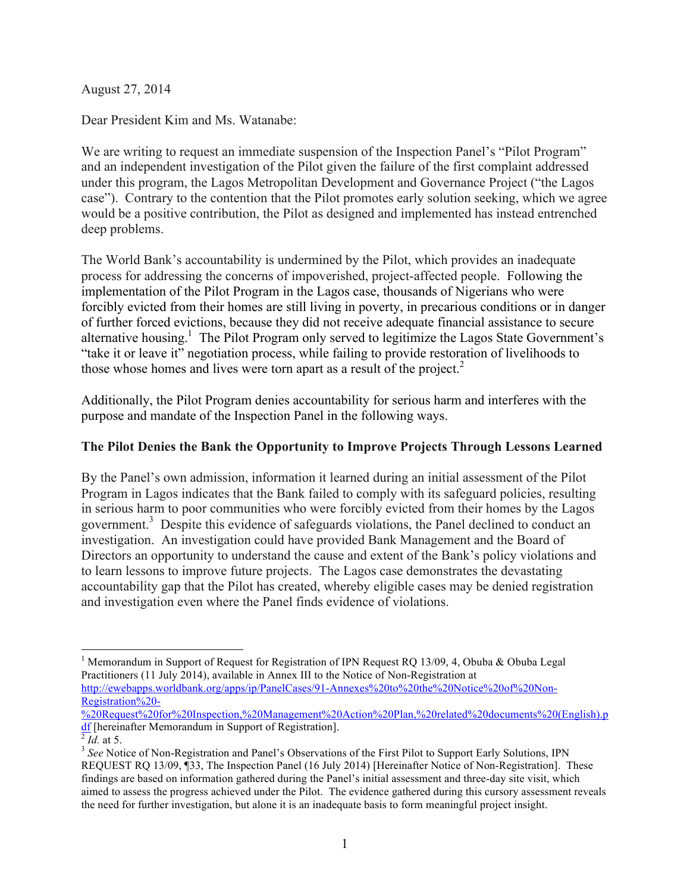August 27, 2014

Dear President Kim and Ms. Watanabe:

We are writing to request an immediate suspension of the Inspection Panel's "Pilot Program" and an independent investigation of the Pilot given the failure of the first complaint addressed under this program, the Lagos Metropolitan Development and Governance Project ("the Lagos case"). Contrary to the contention that the Pilot promotes early solution seeking, which we agree would be a positive contribution, the Pilot as designed and implemented has instead entrenched deep problems.

The World Bank's accountability is undermined by the Pilot, which provides an inadequate process for addressing the concerns of impoverished, project-affected people. Following the implementation of the Pilot Program in the Lagos case, thousands of Nigerians who were forcibly evicted from their homes are still living in poverty, in precarious conditions or in danger of further forced evictions, because they did not receive adequate financial assistance to secure alternative housing.<sup>1</sup> The Pilot Program only served to legitimize the Lagos State Government's "take it or leave it" negotiation process, while failing to provide restoration of livelihoods to those whose homes and lives were torn apart as a result of the project. 2

Additionally, the Pilot Program denies accountability for serious harm and interferes with the purpose and mandate of the Inspection Panel in the following ways.

# **The Pilot Denies the Bank the Opportunity to Improve Projects Through Lessons Learned**

By the Panel's own admission, information it learned during an initial assessment of the Pilot Program in Lagos indicates that the Bank failed to comply with its safeguard policies, resulting in serious harm to poor communities who were forcibly evicted from their homes by the Lagos government. 3 Despite this evidence of safeguards violations, the Panel declined to conduct an investigation. An investigation could have provided Bank Management and the Board of Directors an opportunity to understand the cause and extent of the Bank's policy violations and to learn lessons to improve future projects. The Lagos case demonstrates the devastating accountability gap that the Pilot has created, whereby eligible cases may be denied registration and investigation even where the Panel finds evidence of violations.

%20Request%20for%20Inspection,%20Management%20Action%20Plan,%20related%20documents%20(English).p<br> $\frac{df}{dx}$  [hereinafter Memorandum in Support of Registration].<br> $\frac{d}{dx}$  *Id.* at 5.

<sup>&</sup>lt;sup>1</sup> Memorandum in Support of Request for Registration of IPN Request RO 13/09, 4, Obuba & Obuba Legal Practitioners (11 July 2014), available in Annex III to the Notice of Non-Registration at http://ewebapps.worldbank.org/apps/ip/PanelCases/91-Annexes%20to%20the%20Notice%20of%20Non-Registration%20-

<sup>&</sup>lt;sup>3</sup> See Notice of Non-Registration and Panel's Observations of the First Pilot to Support Early Solutions, IPN REQUEST RQ 13/09, ¶33, The Inspection Panel (16 July 2014) [Hereinafter Notice of Non-Registration]. These findings are based on information gathered during the Panel's initial assessment and three-day site visit, which aimed to assess the progress achieved under the Pilot. The evidence gathered during this cursory assessment reveals the need for further investigation, but alone it is an inadequate basis to form meaningful project insight.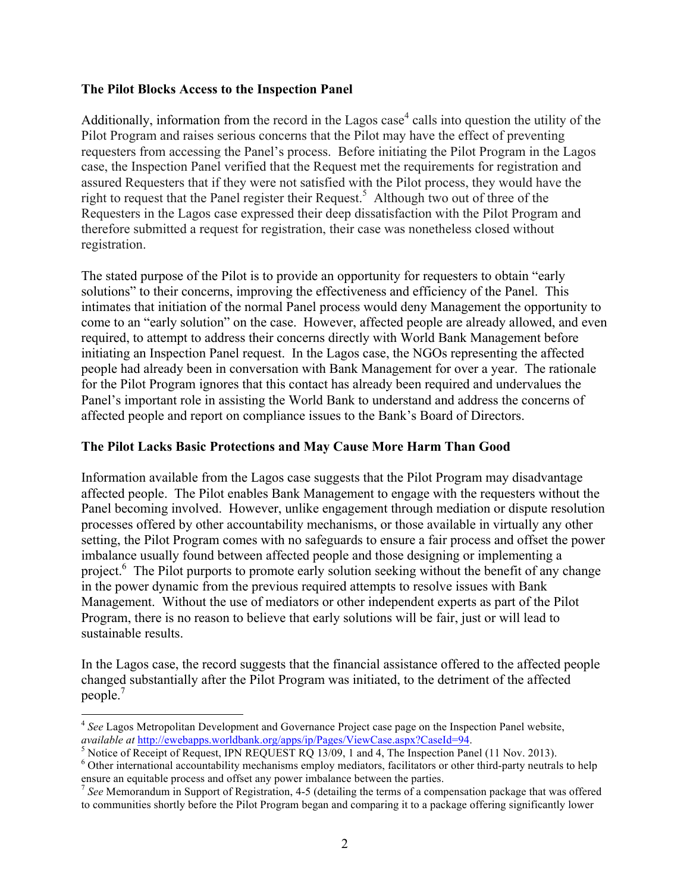### **The Pilot Blocks Access to the Inspection Panel**

Additionally, information from the record in the Lagos case<sup>4</sup> calls into question the utility of the Pilot Program and raises serious concerns that the Pilot may have the effect of preventing requesters from accessing the Panel's process. Before initiating the Pilot Program in the Lagos case, the Inspection Panel verified that the Request met the requirements for registration and assured Requesters that if they were not satisfied with the Pilot process, they would have the right to request that the Panel register their Request.<sup>5</sup> Although two out of three of the Requesters in the Lagos case expressed their deep dissatisfaction with the Pilot Program and therefore submitted a request for registration, their case was nonetheless closed without registration.

The stated purpose of the Pilot is to provide an opportunity for requesters to obtain "early solutions" to their concerns, improving the effectiveness and efficiency of the Panel. This intimates that initiation of the normal Panel process would deny Management the opportunity to come to an "early solution" on the case. However, affected people are already allowed, and even required, to attempt to address their concerns directly with World Bank Management before initiating an Inspection Panel request. In the Lagos case, the NGOs representing the affected people had already been in conversation with Bank Management for over a year. The rationale for the Pilot Program ignores that this contact has already been required and undervalues the Panel's important role in assisting the World Bank to understand and address the concerns of affected people and report on compliance issues to the Bank's Board of Directors.

### **The Pilot Lacks Basic Protections and May Cause More Harm Than Good**

Information available from the Lagos case suggests that the Pilot Program may disadvantage affected people. The Pilot enables Bank Management to engage with the requesters without the Panel becoming involved. However, unlike engagement through mediation or dispute resolution processes offered by other accountability mechanisms, or those available in virtually any other setting, the Pilot Program comes with no safeguards to ensure a fair process and offset the power imbalance usually found between affected people and those designing or implementing a project.<sup>6</sup> The Pilot purports to promote early solution seeking without the benefit of any change in the power dynamic from the previous required attempts to resolve issues with Bank Management. Without the use of mediators or other independent experts as part of the Pilot Program, there is no reason to believe that early solutions will be fair, just or will lead to sustainable results.

In the Lagos case, the record suggests that the financial assistance offered to the affected people changed substantially after the Pilot Program was initiated, to the detriment of the affected people. 7

 <sup>4</sup> *See* Lagos Metropolitan Development and Governance Project case page on the Inspection Panel website, *available at* http://ewebapps.worldbank.org/apps/ip/Pages/ViewCase.aspx?CaseId=94.<br><sup>5</sup> Notice of Receipt of Request, IPN REQUEST RQ 13/09, 1 and 4, The Inspection Panel (11 Nov. 2013).

 $6$  Other international accountability mechanisms employ mediators, facilitators or other third-party neutrals to help ensure an equitable process and offset any power imbalance between the parties.

<sup>7</sup> *See* Memorandum in Support of Registration, 4-5 (detailing the terms of a compensation package that was offered to communities shortly before the Pilot Program began and comparing it to a package offering significantly lower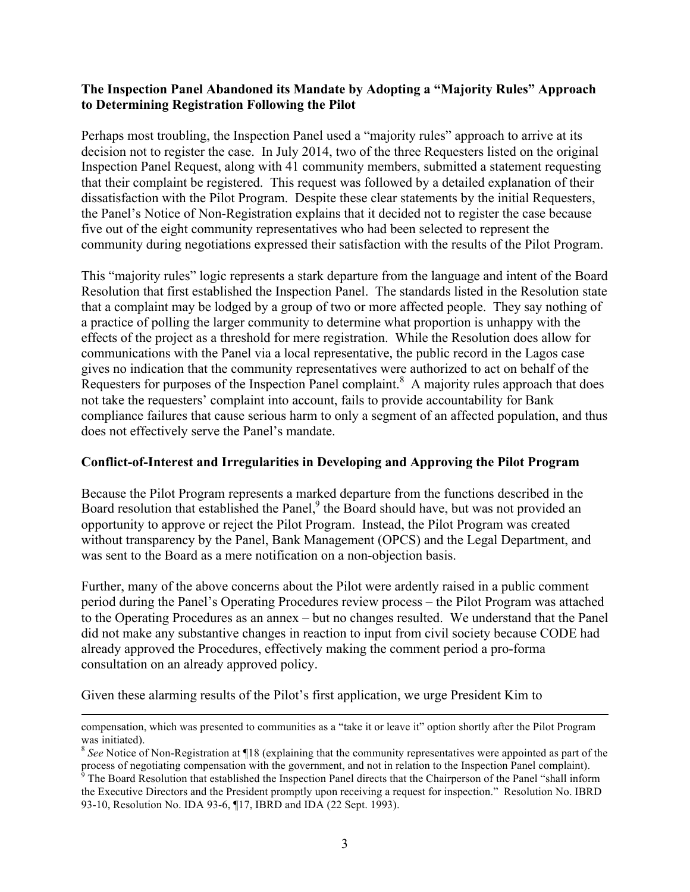## **The Inspection Panel Abandoned its Mandate by Adopting a "Majority Rules" Approach to Determining Registration Following the Pilot**

Perhaps most troubling, the Inspection Panel used a "majority rules" approach to arrive at its decision not to register the case. In July 2014, two of the three Requesters listed on the original Inspection Panel Request, along with 41 community members, submitted a statement requesting that their complaint be registered. This request was followed by a detailed explanation of their dissatisfaction with the Pilot Program. Despite these clear statements by the initial Requesters, the Panel's Notice of Non-Registration explains that it decided not to register the case because five out of the eight community representatives who had been selected to represent the community during negotiations expressed their satisfaction with the results of the Pilot Program.

This "majority rules" logic represents a stark departure from the language and intent of the Board Resolution that first established the Inspection Panel. The standards listed in the Resolution state that a complaint may be lodged by a group of two or more affected people. They say nothing of a practice of polling the larger community to determine what proportion is unhappy with the effects of the project as a threshold for mere registration. While the Resolution does allow for communications with the Panel via a local representative, the public record in the Lagos case gives no indication that the community representatives were authorized to act on behalf of the Requesters for purposes of the Inspection Panel complaint.<sup>8</sup> A majority rules approach that does not take the requesters' complaint into account, fails to provide accountability for Bank compliance failures that cause serious harm to only a segment of an affected population, and thus does not effectively serve the Panel's mandate.

### **Conflict-of-Interest and Irregularities in Developing and Approving the Pilot Program**

Because the Pilot Program represents a marked departure from the functions described in the Board resolution that established the Panel,<sup>9</sup> the Board should have, but was not provided an opportunity to approve or reject the Pilot Program. Instead, the Pilot Program was created without transparency by the Panel, Bank Management (OPCS) and the Legal Department, and was sent to the Board as a mere notification on a non-objection basis.

Further, many of the above concerns about the Pilot were ardently raised in a public comment period during the Panel's Operating Procedures review process – the Pilot Program was attached to the Operating Procedures as an annex – but no changes resulted. We understand that the Panel did not make any substantive changes in reaction to input from civil society because CODE had already approved the Procedures, effectively making the comment period a pro-forma consultation on an already approved policy.

Given these alarming results of the Pilot's first application, we urge President Kim to

<u> 1989 - Andrea San Andrea San Andrea San Andrea San Andrea San Andrea San Andrea San Andrea San Andrea San An</u>

compensation, which was presented to communities as a "take it or leave it" option shortly after the Pilot Program was initiated).

<sup>&</sup>lt;sup>8</sup> See Notice of Non-Registration at ¶18 (explaining that the community representatives were appointed as part of the

process of negotiating compensation with the government, and not in relation to the Inspection Panel complaint).<br><sup>9</sup> The Board Resolution that established the Inspection Panel directs that the Chairperson of the Panel "sha the Executive Directors and the President promptly upon receiving a request for inspection." Resolution No. IBRD 93-10, Resolution No. IDA 93-6, ¶17, IBRD and IDA (22 Sept. 1993).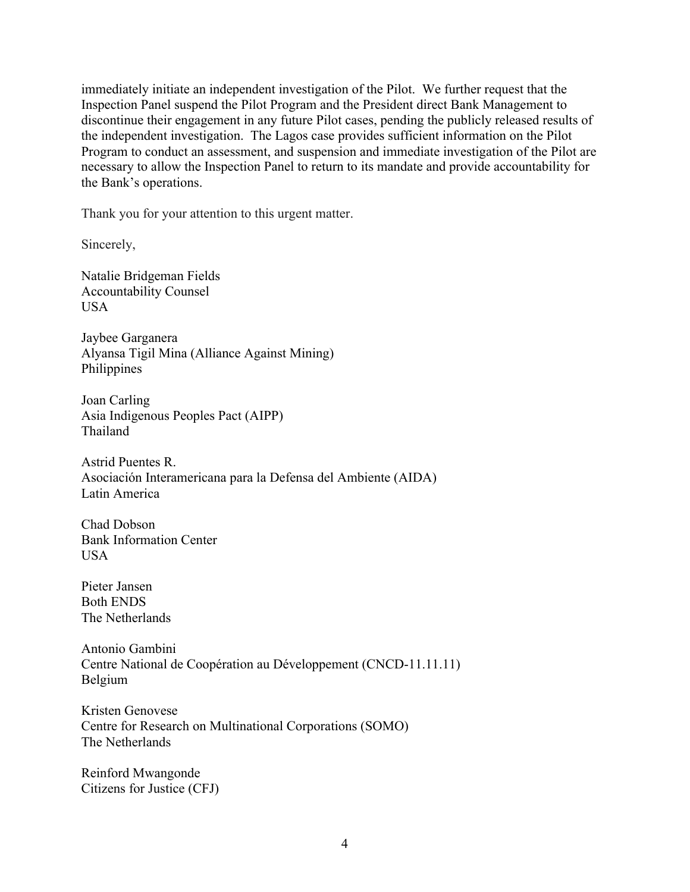immediately initiate an independent investigation of the Pilot. We further request that the Inspection Panel suspend the Pilot Program and the President direct Bank Management to discontinue their engagement in any future Pilot cases, pending the publicly released results of the independent investigation. The Lagos case provides sufficient information on the Pilot Program to conduct an assessment, and suspension and immediate investigation of the Pilot are necessary to allow the Inspection Panel to return to its mandate and provide accountability for the Bank's operations.

Thank you for your attention to this urgent matter.

Sincerely,

Natalie Bridgeman Fields Accountability Counsel **USA** 

Jaybee Garganera Alyansa Tigil Mina (Alliance Against Mining) **Philippines** 

Joan Carling Asia Indigenous Peoples Pact (AIPP) Thailand

Astrid Puentes R. Asociación Interamericana para la Defensa del Ambiente (AIDA) Latin America

Chad Dobson Bank Information Center USA

Pieter Jansen Both ENDS The Netherlands

Antonio Gambini Centre National de Coopération au Développement (CNCD-11.11.11) Belgium

Kristen Genovese Centre for Research on Multinational Corporations (SOMO) The Netherlands

Reinford Mwangonde Citizens for Justice (CFJ)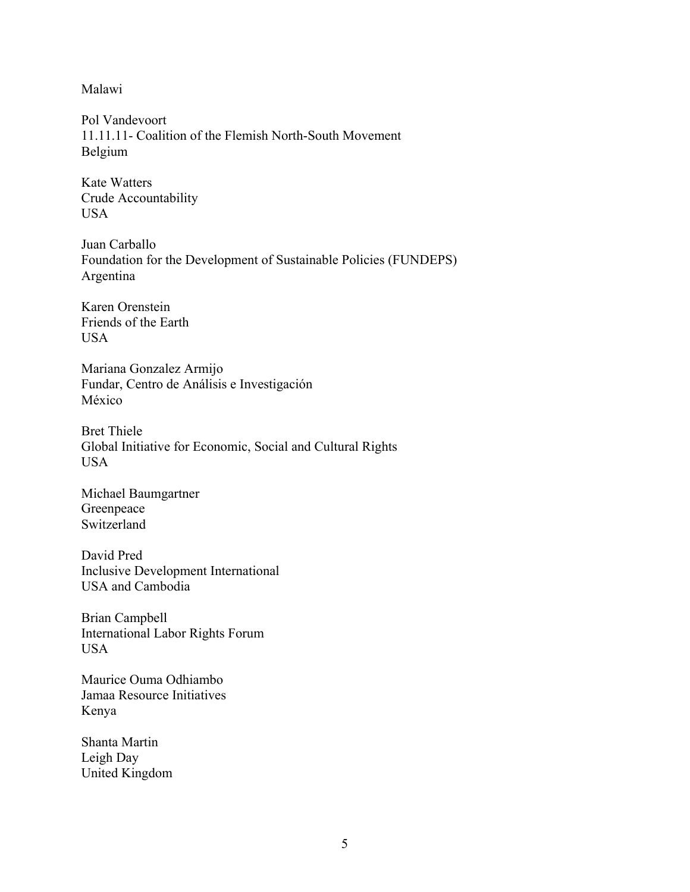Malawi

Pol Vandevoort 11.11.11- Coalition of the Flemish North-South Movement Belgium

Kate Watters Crude Accountability USA

Juan Carballo Foundation for the Development of Sustainable Policies (FUNDEPS) Argentina

Karen Orenstein Friends of the Earth USA

Mariana Gonzalez Armijo Fundar, Centro de Análisis e Investigación México

Bret Thiele Global Initiative for Economic, Social and Cultural Rights USA

Michael Baumgartner Greenpeace Switzerland

David Pred Inclusive Development International USA and Cambodia

Brian Campbell International Labor Rights Forum USA

Maurice Ouma Odhiambo Jamaa Resource Initiatives Kenya

Shanta Martin Leigh Day United Kingdom